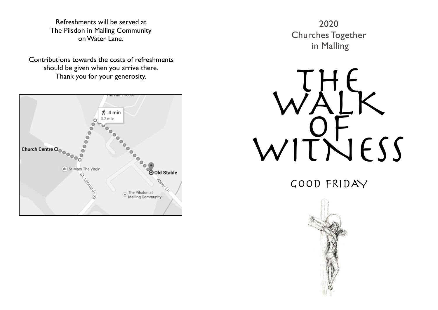Refreshments will be served at The Pilsdon in Malling Community on Water Lane.

Contributions towards the costs of refreshments should be given when you arrive there. Thank you for your generosity.



2020 Churches Together in Malling



GOOD FRIDAY

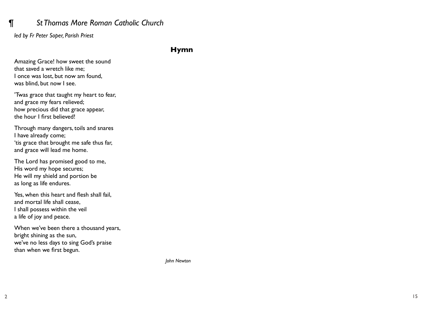*led by Fr Peter Soper, Parish Priest*

#### **Hymn**

Amazing Grace! how sweet the sound that saved a wretch like me; I once was lost, but now am found, was blind, but now I see.

'Twas grace that taught my heart to fear, and grace my fears relieved; how precious did that grace appear, the hour I first believed!

Through many dangers, toils and snares I have already come; 'tis grace that brought me safe thus far, and grace will lead me home.

The Lord has promised good to me, His word my hope secures; He will my shield and portion be as long as life endures.

Yes, when this heart and flesh shall fail, and mortal life shall cease, I shall possess within the veil a life of joy and peace.

15 *Thomas More Roman Catholic Church*<br>
id to *Fr Frost* Super, Pass in Press<br>
Advantage Gross *Church* are seven to sound<br>
2 that taxed a week only the method<br>
vas blind, but now are slowed.<br>
was blind, but now less.<br> When we've been there a thousand years, bright shining as the sun, we've no less days to sing God's praise than when we first begun.

*John Newton*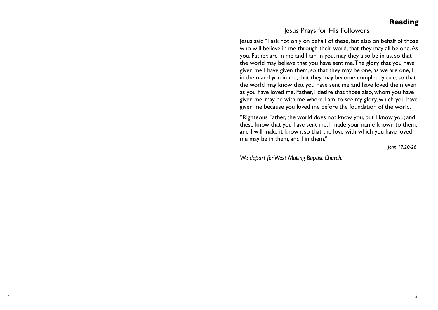### **Reading**

#### Jesus Prays for His Followers

Jesus said "I ask not only on behalf of these, but also on behalf of those who will believe in me through their word, that they may all be one. As you, Father, are in me and I am in you, may they also be in us, so that the world may believe that you have sent me. The glory that you have given me I have given them, so that they may be one, as we are one, I in them and you in me, that they may become completely one, so that the world may know that you have sent me and have loved them even as you have loved me. Father, I desire that those also, whom you have given me, may be with me where I am, to see my glory, which you have given me because you loved me before the foundation of the world.

"Righteous Father, the world does not know you, but I know you; and these know that you have sent me. I made your name known to them, and I will make it known, so that the love with which you have loved me may be in them, and I in them."

*John 17:20-26*

*We depart for West Malling Baptist Church.*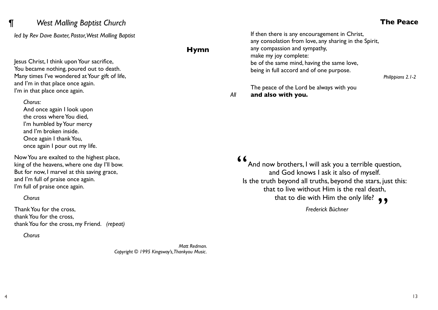## *¶ West Malling Baptist Church*

*led by Rev Dave Baxter, Pastor, West Malling Baptist*

Jesus Christ, I think upon Your sacrifice, You became nothing, poured out to death. Many times I've wondered at Your gift of life, and I'm in that place once again. I'm in that place once again.

#### *Chorus:*

And once again I look upon the cross where You died, I'm humbled by Your mercy and I'm broken inside. Once again I thank You, once again I pour out my life.

Now You are exalted to the highest place, king of the heavens, where one day I'll bow. But for now, I marvel at this saving grace, and I'm full of praise once again. I'm full of praise once again.

#### *Chorus*

Thank You for the cross, thank You for the cross, thank You for the cross, my Friend. *(repeat)*

*Chorus*

**Hymn**

| If then there is any encouragement in Christ,         |                   |
|-------------------------------------------------------|-------------------|
| any consolation from love, any sharing in the Spirit, |                   |
| any compassion and sympathy,                          |                   |
| make my joy complete:                                 |                   |
| be of the same mind, having the same love,            |                   |
| being in full accord and of one purpose.              |                   |
|                                                       | Philippians 2.1-2 |
| The peace of the Lord be always with you              |                   |

*All* **and also with you.**

And now brothers, I will ask you a terrible question, and God knows I ask it also of myself. Is the truth beyond all truths, beyond the stars, just this: that to live without Him is the real death, that to die with Him the only life?<br>Frederick Büchner "

*Frederick Büchner*

*Matt Redman. Copyright © 1995 Kingsway's, Thankyou Music.*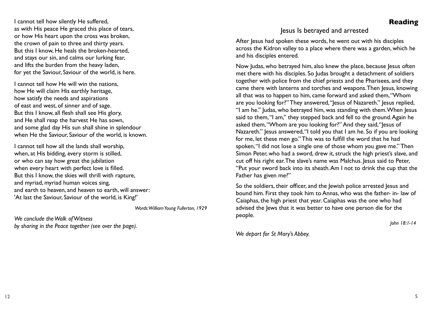I cannot tell how silently He suffered, as with His peace He graced this place of tears, or how His heart upon the cross was broken, the crown of pain to three and thirty years. But this I know, He heals the broken-hearted, and stays our sin, and calms our lurking fear, and lifts the burden from the heavy laden, for yet the Saviour, Saviour of the world, is here.

I cannot tell how He will win the nations, how He will claim His earthly heritage, how satisfy the needs and aspirations of east and west, of sinner and of sage. But this I know, all flesh shall see His glory, and He shall reap the harvest He has sown, and some glad day His sun shall shine in splendour when He the Saviour, Saviour of the world, is known.

I cannot tell how all the lands shall worship, when, at His bidding, every storm is stilled, or who can say how great the jubilation when every heart with perfect love is filled. But this I know, the skies will thrill with rapture, and myriad, myriad human voices sing, and earth to heaven, and heaven to earth, will answer: 'At last the Saviour, Saviour of the world, is King!'

*Words: William Young Fullerton, 1929* 

*We conclude the Walk of Witness by sharing in the Peace together (see over the page).*

## Jesus Is betrayed and arrested

After Jesus had spoken these words, he went out with his disciples across the Kidron valley to a place where there was a garden, which he and his disciples entered.

Now Judas, who betrayed him, also knew the place, because Jesus often met there with his disciples. So Judas brought a detachment of soldiers together with police from the chief priests and the Pharisees, and they came there with lanterns and torches and weapons. Then Jesus, knowing all that was to happen to him, came forward and asked them, "Whom are you looking for?" They answered, "Jesus of Nazareth." Jesus replied, "I am he." Judas, who betrayed him, was standing with them. When Jesus said to them, "I am," they stepped back and fell to the ground. Again he asked them, "Whom are you looking for?" And they said, "Jesus of Nazareth." Jesus answered, "I told you that I am he. So if you are looking for me, let these men go." This was to fulfill the word that he had spoken, "I did not lose a single one of those whom you gave me." Then Simon Peter, who had a sword, drew it, struck the high priest's slave, and cut off his right ear. The slave's name was Malchus. Jesus said to Peter, "Put your sword back into its sheath. Am I not to drink the cup that the Father has given me?"

So the soldiers, their officer, and the Jewish police arrested Jesus and bound him. First they took him to Annas, who was the father- in- law of Caiaphas, the high priest that year. Caiaphas was the one who had advised the Jews that it was better to have one person die for the people.

*John 18:1-14*

*We depart for St Mary's Abbey.*

#### **Reading**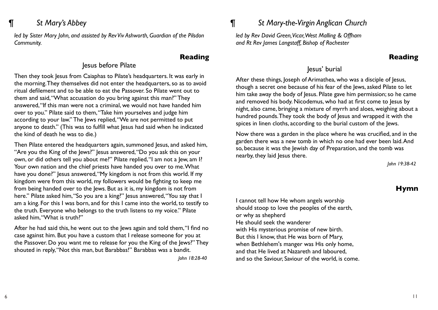# *¶ St Mary's Abbey*

*led by Sister Mary John, and assisted by Rev Viv Ashworth, Guardian of the Pilsdon Community.*

### **Reading**

### lesus before Pilate

Then they took Jesus from Caiaphas to Pilate's headquarters. It was early in the morning. They themselves did not enter the headquarters, so as to avoid ritual defilement and to be able to eat the Passover. So Pilate went out to them and said, "What accusation do you bring against this man?" They answered, "If this man were not a criminal, we would not have handed him over to you." Pilate said to them, "Take him yourselves and judge him according to your law." The Jews replied, "We are not permitted to put anyone to death." (This was to fulfill what lesus had said when he indicated the kind of death he was to die.)

Then Pilate entered the headquarters again, summoned Jesus, and asked him, "Are you the King of the Jews?" Jesus answered, "Do you ask this on your own, or did others tell you about me?" Pilate replied, "I am not a Jew, am I? Your own nation and the chief priests have handed you over to me. What have you done?" Jesus answered, "My kingdom is not from this world. If my kingdom were from this world, my followers would be fighting to keep me from being handed over to the Jews. But as it is, my kingdom is not from here." Pilate asked him, "So you are a king?" Jesus answered, "You say that I am a king. For this I was born, and for this I came into the world, to testify to the truth. Everyone who belongs to the truth listens to my voice." Pilate asked him, "What is truth?"

After he had said this, he went out to the Jews again and told them, "I find no case against him. But you have a custom that I release someone for you at the Passover. Do you want me to release for you the King of the Jews?" They shouted in reply, "Not this man, but Barabbas!" Barabbas was a bandit.

*John 18:28-40*

# *¶ St Mary-the-Virgin Anglican Church*

*led by Rev David Green, Vicar, West Malling & Offham and Rt Rev James Langstaff, Bishop of Rochester*

## **Reading**

## Jesus' burial

After these things, Joseph of Arimathea, who was a disciple of Jesus, though a secret one because of his fear of the Jews, asked Pilate to let him take away the body of Jesus. Pilate gave him permission; so he came and removed his body. Nicodemus, who had at first come to Jesus by night, also came, bringing a mixture of myrrh and aloes, weighing about a hundred pounds. They took the body of Jesus and wrapped it with the spices in linen cloths, according to the burial custom of the Jews.

Now there was a garden in the place where he was crucified, and in the garden there was a new tomb in which no one had ever been laid. And so, because it was the Jewish day of Preparation, and the tomb was nearby, they laid Jesus there.

*John 19:38-42*

## **Hymn**

I cannot tell how He whom angels worship should stoop to love the peoples of the earth, or why as shepherd He should seek the wanderer with His mysterious promise of new birth. But this I know, that He was born of Mary, when Bethlehem's manger was His only home, and that He lived at Nazareth and laboured, and so the Saviour, Saviour of the world, is come.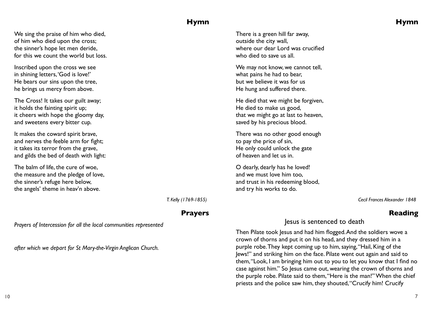### **Hymn**

We sing the praise of him who died, of him who died upon the cross; the sinner's hope let men deride, for this we count the world but loss.

Inscribed upon the cross we see in shining letters, 'God is love!' He bears our sins upon the tree, he brings us mercy from above.

The Cross! It takes our guilt away; it holds the fainting spirit up; it cheers with hope the gloomy day, and sweetens every bitter cup.

It makes the coward spirit brave, and nerves the feeble arm for fight; it takes its terror from the grave, and gilds the bed of death with light:

The balm of life, the cure of woe, the measure and the pledge of love, the sinner's refuge here below, the angels' theme in heav'n above.

*T. Kelly (1769-1855)*

#### **Prayers**

*Prayers of Intercession for all the local communities represented*

*after which we depart for St Mary-the-Virgin Anglican Church.*

There is a green hill far away, outside the city wall, where our dear Lord was crucified who died to save us all.

We may not know, we cannot tell, what pains he had to bear, but we believe it was for us He hung and suffered there.

He died that we might be forgiven, He died to make us good, that we might go at last to heaven, saved by his precious blood.

There was no other good enough to pay the price of sin, He only could unlock the gate of heaven and let us in.

O dearly, dearly has he loved! and we must love him too, and trust in his redeeming blood, and try his works to do.

*Cecil Frances Alexander 1848*

#### **Reading**

#### Jesus is sentenced to death

Then Pilate took Jesus and had him flogged. And the soldiers wove a crown of thorns and put it on his head, and they dressed him in a purple robe. They kept coming up to him, saying, "Hail, King of the Jews!" and striking him on the face. Pilate went out again and said to them, "Look, I am bringing him out to you to let you know that I find no case against him." So Jesus came out, wearing the crown of thorns and the purple robe. Pilate said to them, "Here is the man!" When the chief priests and the police saw him, they shouted, "Crucify him! Crucify